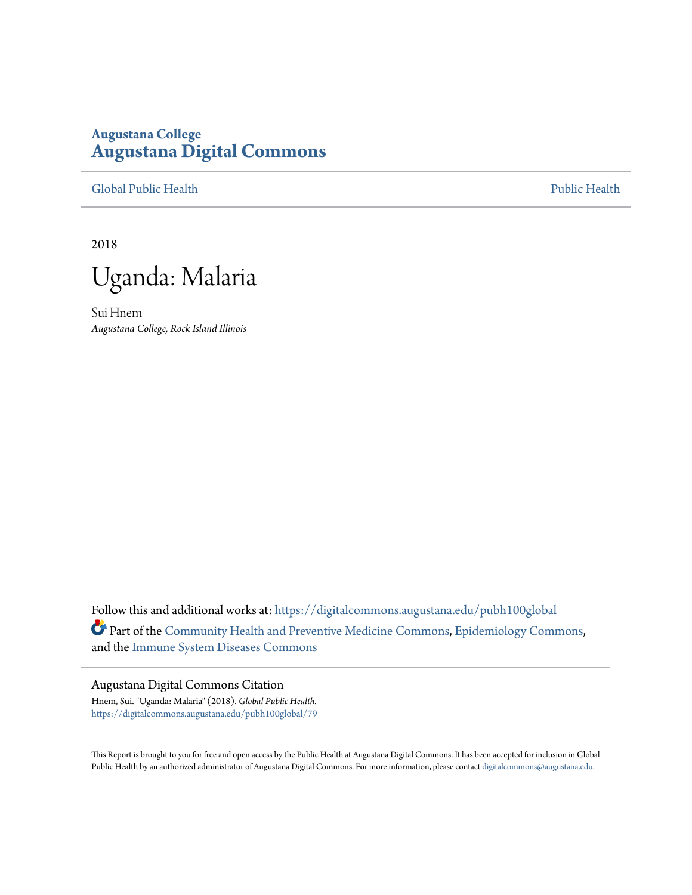# **Augustana College [Augustana Digital Commons](https://digitalcommons.augustana.edu?utm_source=digitalcommons.augustana.edu%2Fpubh100global%2F79&utm_medium=PDF&utm_campaign=PDFCoverPages)**

[Global Public Health](https://digitalcommons.augustana.edu/pubh100global?utm_source=digitalcommons.augustana.edu%2Fpubh100global%2F79&utm_medium=PDF&utm_campaign=PDFCoverPages) [Public Health](https://digitalcommons.augustana.edu/publichealth?utm_source=digitalcommons.augustana.edu%2Fpubh100global%2F79&utm_medium=PDF&utm_campaign=PDFCoverPages)

2018

Uganda: Malaria

Sui Hnem *Augustana College, Rock Island Illinois*

Follow this and additional works at: [https://digitalcommons.augustana.edu/pubh100global](https://digitalcommons.augustana.edu/pubh100global?utm_source=digitalcommons.augustana.edu%2Fpubh100global%2F79&utm_medium=PDF&utm_campaign=PDFCoverPages) Part of the [Community Health and Preventive Medicine Commons,](http://network.bepress.com/hgg/discipline/744?utm_source=digitalcommons.augustana.edu%2Fpubh100global%2F79&utm_medium=PDF&utm_campaign=PDFCoverPages) [Epidemiology Commons](http://network.bepress.com/hgg/discipline/740?utm_source=digitalcommons.augustana.edu%2Fpubh100global%2F79&utm_medium=PDF&utm_campaign=PDFCoverPages), and the [Immune System Diseases Commons](http://network.bepress.com/hgg/discipline/933?utm_source=digitalcommons.augustana.edu%2Fpubh100global%2F79&utm_medium=PDF&utm_campaign=PDFCoverPages)

#### Augustana Digital Commons Citation

Hnem, Sui. "Uganda: Malaria" (2018). *Global Public Health.* [https://digitalcommons.augustana.edu/pubh100global/79](https://digitalcommons.augustana.edu/pubh100global/79?utm_source=digitalcommons.augustana.edu%2Fpubh100global%2F79&utm_medium=PDF&utm_campaign=PDFCoverPages)

This Report is brought to you for free and open access by the Public Health at Augustana Digital Commons. It has been accepted for inclusion in Global Public Health by an authorized administrator of Augustana Digital Commons. For more information, please contact [digitalcommons@augustana.edu.](mailto:digitalcommons@augustana.edu)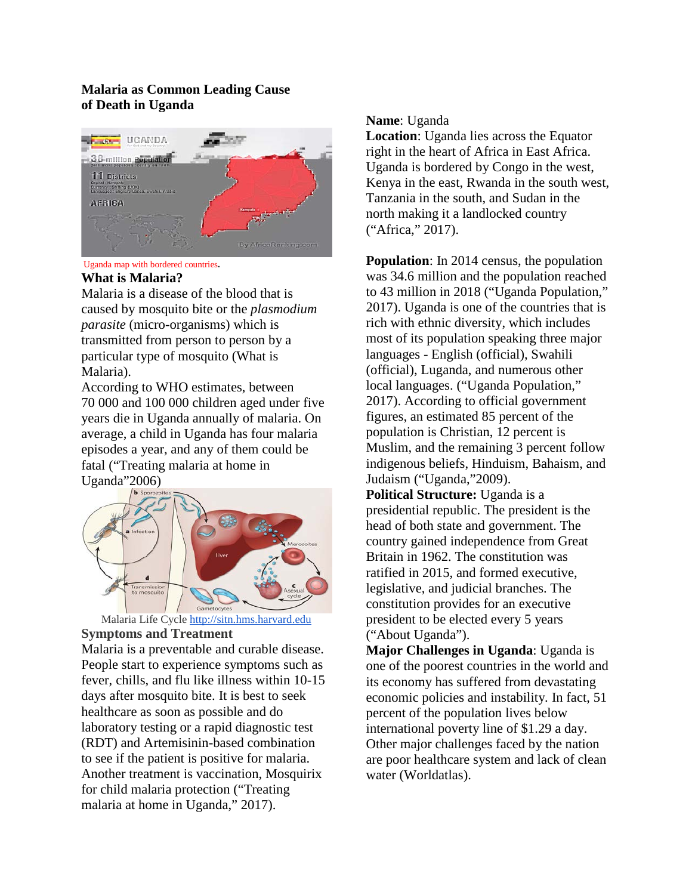# **Malaria as Common Leading Cause of Death in Uganda**



Uganda map with bordered countries.

### **What is Malaria?**

Malaria is a disease of the blood that is caused by mosquito bite or the *plasmodium parasite* (micro-organisms) which is transmitted from person to person by a particular type of mosquito (What is Malaria).

According to WHO estimates, between 70 000 and 100 000 children aged under five years die in Uganda annually of malaria. On average, a child in Uganda has four malaria episodes a year, and any of them could be fatal ("Treating malaria at home in Uganda"2006)



 Malaria Life Cycle [http://sitn.hms.harvard.edu](http://sitn.hms.harvard.edu/) **Symptoms and Treatment** 

Malaria is a preventable and curable disease. People start to experience symptoms such as fever, chills, and flu like illness within 10-15 days after mosquito bite. It is best to seek healthcare as soon as possible and do laboratory testing or a rapid diagnostic test (RDT) and Artemisinin-based combination to see if the patient is positive for malaria. Another treatment is vaccination, Mosquirix for child malaria protection ("Treating malaria at home in Uganda," 2017).

## **Name**: Uganda

**Location**: Uganda lies across the Equator right in the heart of Africa in East Africa. Uganda is bordered by Congo in the west, Kenya in the east, Rwanda in the south west, Tanzania in the south, and Sudan in the north making it a landlocked country ("Africa," 2017).

**Population**: In 2014 census, the population was 34.6 million and the population reached to 43 million in 2018 ("Uganda Population," 2017). [Uganda](http://worldpopulationreview.com/countries/uganda-population/) is one of the countries that is rich with ethnic diversity, which includes most of its population speaking three major languages - English (official), Swahili (official), Luganda, and numerous other local languages. ("Uganda Population," 2017). According to official government figures, an estimated 85 percent of the population is Christian, 12 percent is Muslim, and the remaining 3 percent follow indigenous beliefs, Hinduism, Bahaism, and Judaism ("Uganda,"2009).

**Political Structure:** Uganda is a presidential republic. The president is the head of both state and government. The country gained independence from Great Britain in 1962. The constitution was ratified in 2015, and formed executive, legislative, and judicial branches. The constitution provides for an executive president to be elected every 5 years ("About Uganda").

**Major Challenges in Uganda**: Uganda is one of the poorest countries in the world and its economy has suffered from devastating economic policies and instability. In fact, 51 percent of the population lives below international poverty line of \$1.29 a day. Other major challenges faced by the nation are poor healthcare system and lack of clean water (Worldatlas).